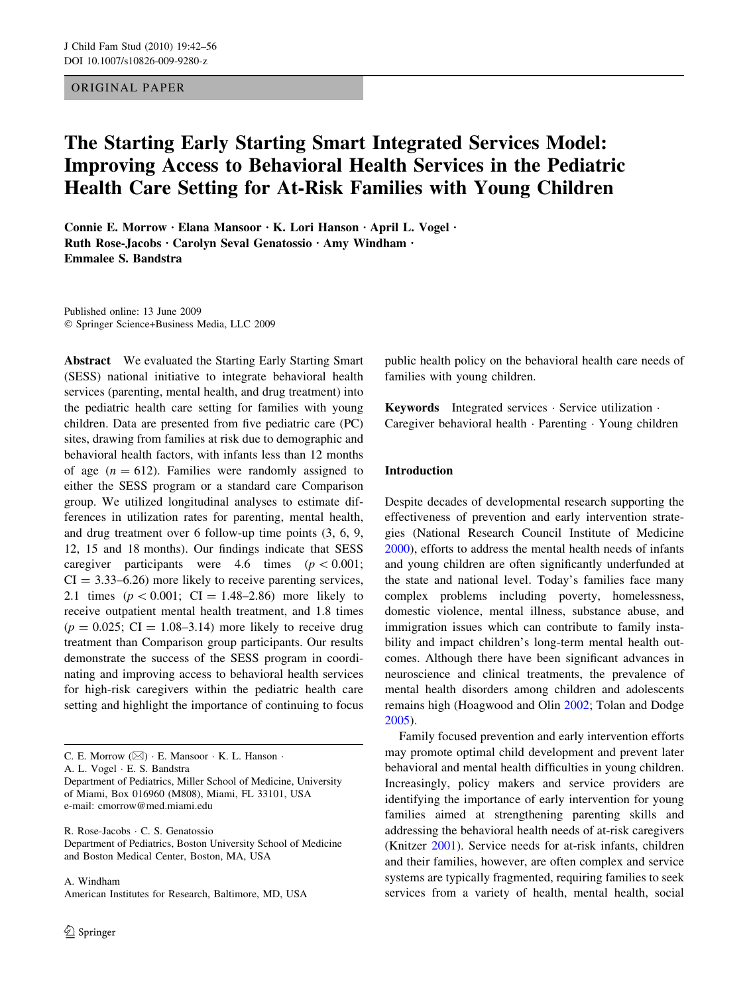## ORIGINAL PAPER

# The Starting Early Starting Smart Integrated Services Model: Improving Access to Behavioral Health Services in the Pediatric Health Care Setting for At-Risk Families with Young Children

Connie E. Morrow · Elana Mansoor · K. Lori Hanson · April L. Vogel · Ruth Rose-Jacobs · Carolyn Seval Genatossio · Amy Windham · Emmalee S. Bandstra

Published online: 13 June 2009 Springer Science+Business Media, LLC 2009

Abstract We evaluated the Starting Early Starting Smart (SESS) national initiative to integrate behavioral health services (parenting, mental health, and drug treatment) into the pediatric health care setting for families with young children. Data are presented from five pediatric care (PC) sites, drawing from families at risk due to demographic and behavioral health factors, with infants less than 12 months of age  $(n = 612)$ . Families were randomly assigned to either the SESS program or a standard care Comparison group. We utilized longitudinal analyses to estimate differences in utilization rates for parenting, mental health, and drug treatment over 6 follow-up time points (3, 6, 9, 12, 15 and 18 months). Our findings indicate that SESS caregiver participants were 4.6 times  $(p < 0.001;$  $CI = 3.33 - 6.26$ ) more likely to receive parenting services, 2.1 times ( $p < 0.001$ ; CI = 1.48–2.86) more likely to receive outpatient mental health treatment, and 1.8 times  $(p = 0.025; C1 = 1.08-3.14)$  more likely to receive drug treatment than Comparison group participants. Our results demonstrate the success of the SESS program in coordinating and improving access to behavioral health services for high-risk caregivers within the pediatric health care setting and highlight the importance of continuing to focus

A. L. Vogel · E. S. Bandstra

Department of Pediatrics, Miller School of Medicine, University of Miami, Box 016960 (M808), Miami, FL 33101, USA e-mail: cmorrow@med.miami.edu

R. Rose-Jacobs · C. S. Genatossio Department of Pediatrics, Boston University School of Medicine and Boston Medical Center, Boston, MA, USA

A. Windham American Institutes for Research, Baltimore, MD, USA

public health policy on the behavioral health care needs of families with young children.

**Keywords** Integrated services  $\cdot$  Service utilization  $\cdot$ Caregiver behavioral health · Parenting · Young children

# Introduction

Despite decades of developmental research supporting the effectiveness of prevention and early intervention strategies (National Research Council Institute of Medicine 2000), efforts to address the mental health needs of infants and young children are often significantly underfunded at the state and national level. Today's families face many complex problems including poverty, homelessness, domestic violence, mental illness, substance abuse, and immigration issues which can contribute to family instability and impact children's long-term mental health outcomes. Although there have been significant advances in neuroscience and clinical treatments, the prevalence of mental health disorders among children and adolescents remains high (Hoagwood and Olin 2002; Tolan and Dodge 2005).

Family focused prevention and early intervention efforts may promote optimal child development and prevent later behavioral and mental health difficulties in young children. Increasingly, policy makers and service providers are identifying the importance of early intervention for young families aimed at strengthening parenting skills and addressing the behavioral health needs of at-risk caregivers (Knitzer 2001). Service needs for at-risk infants, children and their families, however, are often complex and service systems are typically fragmented, requiring families to seek services from a variety of health, mental health, social

C. E. Morrow  $(\boxtimes) \cdot$  E. Mansoor  $\cdot$  K. L. Hanson  $\cdot$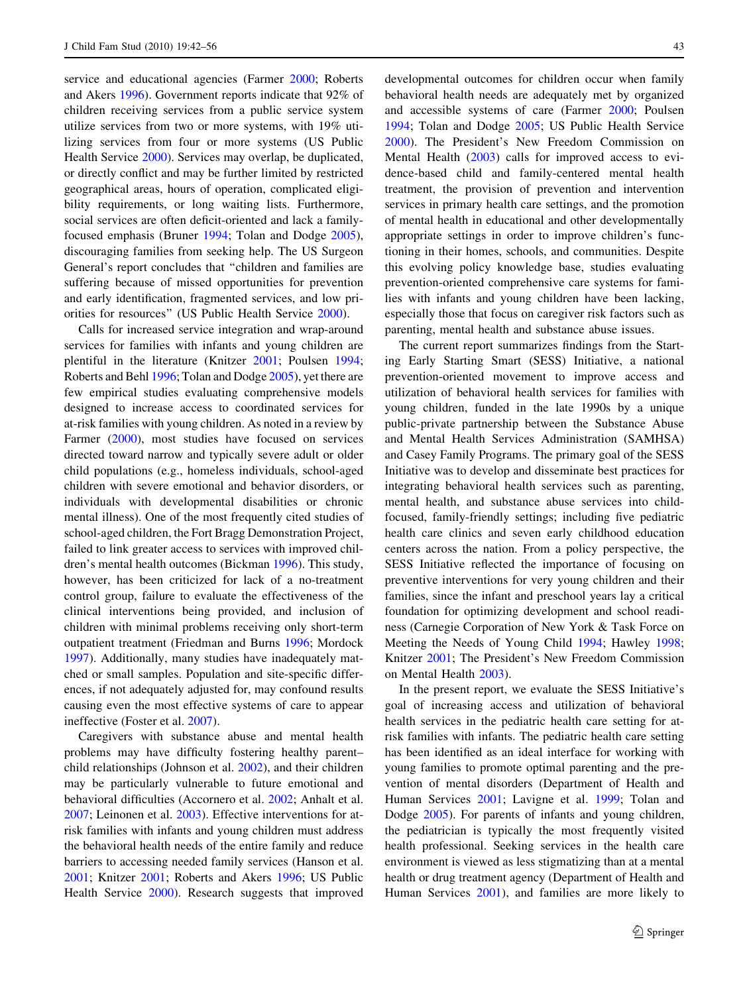service and educational agencies (Farmer 2000; Roberts and Akers 1996). Government reports indicate that 92% of children receiving services from a public service system utilize services from two or more systems, with 19% utilizing services from four or more systems (US Public Health Service 2000). Services may overlap, be duplicated, or directly conflict and may be further limited by restricted geographical areas, hours of operation, complicated eligibility requirements, or long waiting lists. Furthermore, social services are often deficit-oriented and lack a familyfocused emphasis (Bruner 1994; Tolan and Dodge 2005), discouraging families from seeking help. The US Surgeon General's report concludes that ''children and families are suffering because of missed opportunities for prevention and early identification, fragmented services, and low priorities for resources'' (US Public Health Service 2000).

Calls for increased service integration and wrap-around services for families with infants and young children are plentiful in the literature (Knitzer 2001; Poulsen 1994; Roberts and Behl 1996; Tolan and Dodge 2005), yet there are few empirical studies evaluating comprehensive models designed to increase access to coordinated services for at-risk families with young children. As noted in a review by Farmer (2000), most studies have focused on services directed toward narrow and typically severe adult or older child populations (e.g., homeless individuals, school-aged children with severe emotional and behavior disorders, or individuals with developmental disabilities or chronic mental illness). One of the most frequently cited studies of school-aged children, the Fort Bragg Demonstration Project, failed to link greater access to services with improved children's mental health outcomes (Bickman 1996). This study, however, has been criticized for lack of a no-treatment control group, failure to evaluate the effectiveness of the clinical interventions being provided, and inclusion of children with minimal problems receiving only short-term outpatient treatment (Friedman and Burns 1996; Mordock 1997). Additionally, many studies have inadequately matched or small samples. Population and site-specific differences, if not adequately adjusted for, may confound results causing even the most effective systems of care to appear ineffective (Foster et al. 2007).

Caregivers with substance abuse and mental health problems may have difficulty fostering healthy parent– child relationships (Johnson et al. 2002), and their children may be particularly vulnerable to future emotional and behavioral difficulties (Accornero et al. 2002; Anhalt et al. 2007; Leinonen et al. 2003). Effective interventions for atrisk families with infants and young children must address the behavioral health needs of the entire family and reduce barriers to accessing needed family services (Hanson et al. 2001; Knitzer 2001; Roberts and Akers 1996; US Public Health Service 2000). Research suggests that improved developmental outcomes for children occur when family behavioral health needs are adequately met by organized and accessible systems of care (Farmer 2000; Poulsen 1994; Tolan and Dodge 2005; US Public Health Service 2000). The President's New Freedom Commission on Mental Health (2003) calls for improved access to evidence-based child and family-centered mental health treatment, the provision of prevention and intervention services in primary health care settings, and the promotion of mental health in educational and other developmentally appropriate settings in order to improve children's functioning in their homes, schools, and communities. Despite this evolving policy knowledge base, studies evaluating prevention-oriented comprehensive care systems for families with infants and young children have been lacking, especially those that focus on caregiver risk factors such as parenting, mental health and substance abuse issues.

The current report summarizes findings from the Starting Early Starting Smart (SESS) Initiative, a national prevention-oriented movement to improve access and utilization of behavioral health services for families with young children, funded in the late 1990s by a unique public-private partnership between the Substance Abuse and Mental Health Services Administration (SAMHSA) and Casey Family Programs. The primary goal of the SESS Initiative was to develop and disseminate best practices for integrating behavioral health services such as parenting, mental health, and substance abuse services into childfocused, family-friendly settings; including five pediatric health care clinics and seven early childhood education centers across the nation. From a policy perspective, the SESS Initiative reflected the importance of focusing on preventive interventions for very young children and their families, since the infant and preschool years lay a critical foundation for optimizing development and school readiness (Carnegie Corporation of New York & Task Force on Meeting the Needs of Young Child 1994; Hawley 1998; Knitzer 2001; The President's New Freedom Commission on Mental Health 2003).

In the present report, we evaluate the SESS Initiative's goal of increasing access and utilization of behavioral health services in the pediatric health care setting for atrisk families with infants. The pediatric health care setting has been identified as an ideal interface for working with young families to promote optimal parenting and the prevention of mental disorders (Department of Health and Human Services 2001; Lavigne et al. 1999; Tolan and Dodge 2005). For parents of infants and young children, the pediatrician is typically the most frequently visited health professional. Seeking services in the health care environment is viewed as less stigmatizing than at a mental health or drug treatment agency (Department of Health and Human Services 2001), and families are more likely to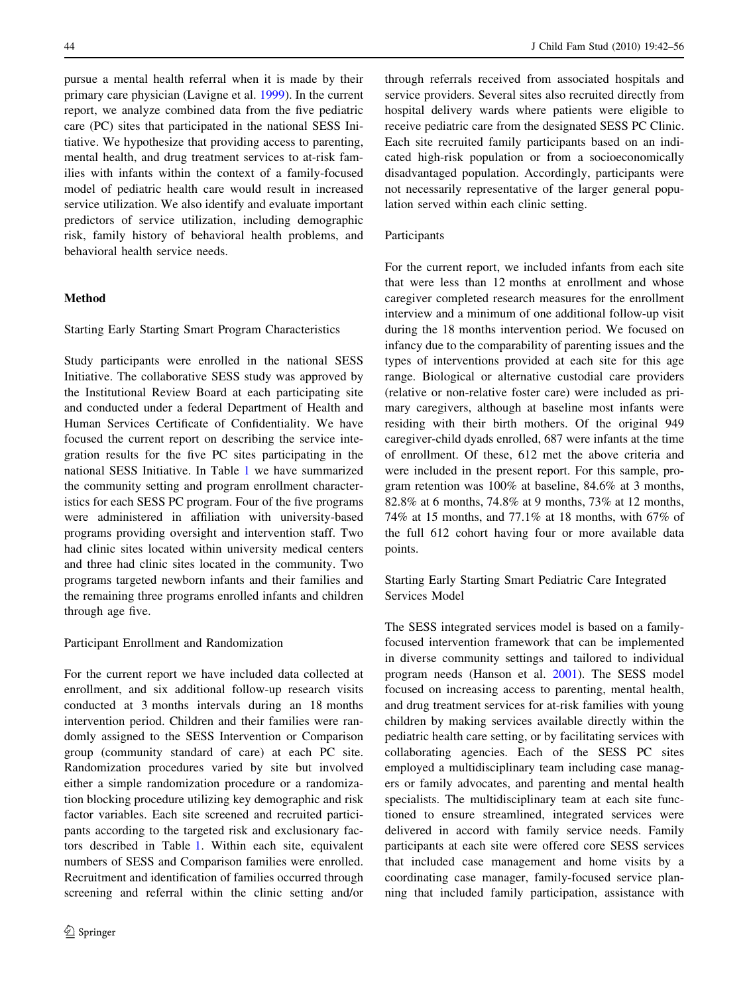pursue a mental health referral when it is made by their primary care physician (Lavigne et al. 1999). In the current report, we analyze combined data from the five pediatric care (PC) sites that participated in the national SESS Initiative. We hypothesize that providing access to parenting, mental health, and drug treatment services to at-risk families with infants within the context of a family-focused model of pediatric health care would result in increased service utilization. We also identify and evaluate important predictors of service utilization, including demographic risk, family history of behavioral health problems, and behavioral health service needs.

## **Method**

# Starting Early Starting Smart Program Characteristics

Study participants were enrolled in the national SESS Initiative. The collaborative SESS study was approved by the Institutional Review Board at each participating site and conducted under a federal Department of Health and Human Services Certificate of Confidentiality. We have focused the current report on describing the service integration results for the five PC sites participating in the national SESS Initiative. In Table 1 we have summarized the community setting and program enrollment characteristics for each SESS PC program. Four of the five programs were administered in affiliation with university-based programs providing oversight and intervention staff. Two had clinic sites located within university medical centers and three had clinic sites located in the community. Two programs targeted newborn infants and their families and the remaining three programs enrolled infants and children through age five.

## Participant Enrollment and Randomization

For the current report we have included data collected at enrollment, and six additional follow-up research visits conducted at 3 months intervals during an 18 months intervention period. Children and their families were randomly assigned to the SESS Intervention or Comparison group (community standard of care) at each PC site. Randomization procedures varied by site but involved either a simple randomization procedure or a randomization blocking procedure utilizing key demographic and risk factor variables. Each site screened and recruited participants according to the targeted risk and exclusionary factors described in Table 1. Within each site, equivalent numbers of SESS and Comparison families were enrolled. Recruitment and identification of families occurred through screening and referral within the clinic setting and/or

through referrals received from associated hospitals and service providers. Several sites also recruited directly from hospital delivery wards where patients were eligible to receive pediatric care from the designated SESS PC Clinic. Each site recruited family participants based on an indicated high-risk population or from a socioeconomically disadvantaged population. Accordingly, participants were not necessarily representative of the larger general population served within each clinic setting.

## Participants

For the current report, we included infants from each site that were less than 12 months at enrollment and whose caregiver completed research measures for the enrollment interview and a minimum of one additional follow-up visit during the 18 months intervention period. We focused on infancy due to the comparability of parenting issues and the types of interventions provided at each site for this age range. Biological or alternative custodial care providers (relative or non-relative foster care) were included as primary caregivers, although at baseline most infants were residing with their birth mothers. Of the original 949 caregiver-child dyads enrolled, 687 were infants at the time of enrollment. Of these, 612 met the above criteria and were included in the present report. For this sample, program retention was 100% at baseline, 84.6% at 3 months, 82.8% at 6 months, 74.8% at 9 months, 73% at 12 months, 74% at 15 months, and 77.1% at 18 months, with 67% of the full 612 cohort having four or more available data points.

Starting Early Starting Smart Pediatric Care Integrated Services Model

The SESS integrated services model is based on a familyfocused intervention framework that can be implemented in diverse community settings and tailored to individual program needs (Hanson et al. 2001). The SESS model focused on increasing access to parenting, mental health, and drug treatment services for at-risk families with young children by making services available directly within the pediatric health care setting, or by facilitating services with collaborating agencies. Each of the SESS PC sites employed a multidisciplinary team including case managers or family advocates, and parenting and mental health specialists. The multidisciplinary team at each site functioned to ensure streamlined, integrated services were delivered in accord with family service needs. Family participants at each site were offered core SESS services that included case management and home visits by a coordinating case manager, family-focused service planning that included family participation, assistance with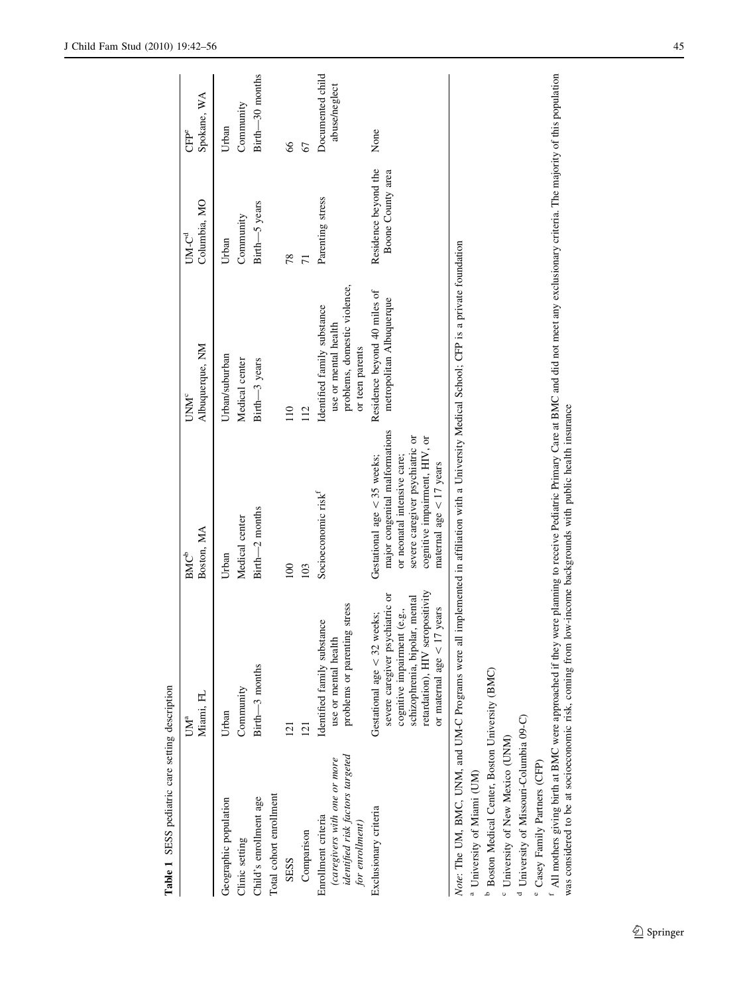| Table 1 SESS pediatric care setting description                                                            |                                                                                                                                                                                                         |                                                                                                                                                                                                                                                                                                                        |                                                                                                        |                                           |                                   |
|------------------------------------------------------------------------------------------------------------|---------------------------------------------------------------------------------------------------------------------------------------------------------------------------------------------------------|------------------------------------------------------------------------------------------------------------------------------------------------------------------------------------------------------------------------------------------------------------------------------------------------------------------------|--------------------------------------------------------------------------------------------------------|-------------------------------------------|-----------------------------------|
|                                                                                                            | Miami, FL<br>$UM^a$                                                                                                                                                                                     | Boston, MA<br>$BMC^b$                                                                                                                                                                                                                                                                                                  | Albuquerque, NM<br>UNM <sup>c</sup>                                                                    | Columbia, MO<br>$UM-C^d$                  | Spokane, WA<br>CFP <sup>e</sup>   |
| Geographic population                                                                                      | Urban                                                                                                                                                                                                   | Urban                                                                                                                                                                                                                                                                                                                  | Urban/suburban                                                                                         | Urban                                     | Urban                             |
| Clinic setting                                                                                             | Community                                                                                                                                                                                               | Medical center                                                                                                                                                                                                                                                                                                         | Medical center                                                                                         | Community                                 | Community                         |
| Child's enrollment age                                                                                     | Birth-3 months                                                                                                                                                                                          | Birth-2 months                                                                                                                                                                                                                                                                                                         | Birth-3 years                                                                                          | Birth-5 years                             | Birth-30 months                   |
| Total cohort enrollment                                                                                    |                                                                                                                                                                                                         |                                                                                                                                                                                                                                                                                                                        |                                                                                                        |                                           |                                   |
| SESS                                                                                                       | 121                                                                                                                                                                                                     | 100                                                                                                                                                                                                                                                                                                                    | 110                                                                                                    | 78                                        | 66                                |
| Comparison                                                                                                 | $\overline{2}$                                                                                                                                                                                          | 103                                                                                                                                                                                                                                                                                                                    | 112                                                                                                    | 11                                        | 67                                |
| identified risk factors targeted<br>(caregivers with one or more<br>Enrollment criteria<br>for enrollment) | stress<br>Identified family substance<br>problems or parenting<br>use or mental health                                                                                                                  | Socioeconomic risk <sup>t</sup>                                                                                                                                                                                                                                                                                        | problems, domestic violence,<br>Identified family substance<br>use or mental health<br>or teen parents | Parenting stress                          | Documented child<br>abuse/neglect |
| Exclusionary criteria                                                                                      | retardation), HIV seropositivity<br>severe caregiver psychiatric or<br>schizophrenia, bipolar, mental<br>cognitive impairment (e.g.,<br>or maternal age $\lt 17$ years<br>Gestational age $<$ 32 weeks; | major congenital malformations<br>severe caregiver psychiatric or<br>cognitive impairment, HIV, or<br>Gestational age $<$ 35 weeks;<br>or neonatal intensive care;<br>maternal age $<$ 17 years                                                                                                                        | Residence beyond 40 miles of<br>metropolitan Albuquerque                                               | Residence beyond the<br>Boone County area | None                              |
|                                                                                                            |                                                                                                                                                                                                         | Note: The UM, BMC, UNM, and UM-C Programs were all implemented in affiliation with a University Medical School; CFP is a private foundation                                                                                                                                                                            |                                                                                                        |                                           |                                   |
| <sup>a</sup> University of Miami (UM)                                                                      |                                                                                                                                                                                                         |                                                                                                                                                                                                                                                                                                                        |                                                                                                        |                                           |                                   |
| <sup>b</sup> Boston Medical Center, Boston University (BMC)                                                |                                                                                                                                                                                                         |                                                                                                                                                                                                                                                                                                                        |                                                                                                        |                                           |                                   |
| <sup>c</sup> University of New Mexico (UNM)                                                                |                                                                                                                                                                                                         |                                                                                                                                                                                                                                                                                                                        |                                                                                                        |                                           |                                   |
| <sup>d</sup> University of Missouri-Columbia 09-C)                                                         |                                                                                                                                                                                                         |                                                                                                                                                                                                                                                                                                                        |                                                                                                        |                                           |                                   |
| <sup>e</sup> Casey Family Partners (CFP)                                                                   |                                                                                                                                                                                                         |                                                                                                                                                                                                                                                                                                                        |                                                                                                        |                                           |                                   |
|                                                                                                            |                                                                                                                                                                                                         | <sup>f</sup> All mothers giving birth at BMC were approached if they were planning to receive Pediatric Primary Care at BMC and did not meet any exclusionary criteria. The majority of this population<br>was considered to be at socioeconomic risk, coming from low-income backgrounds with public health insurance |                                                                                                        |                                           |                                   |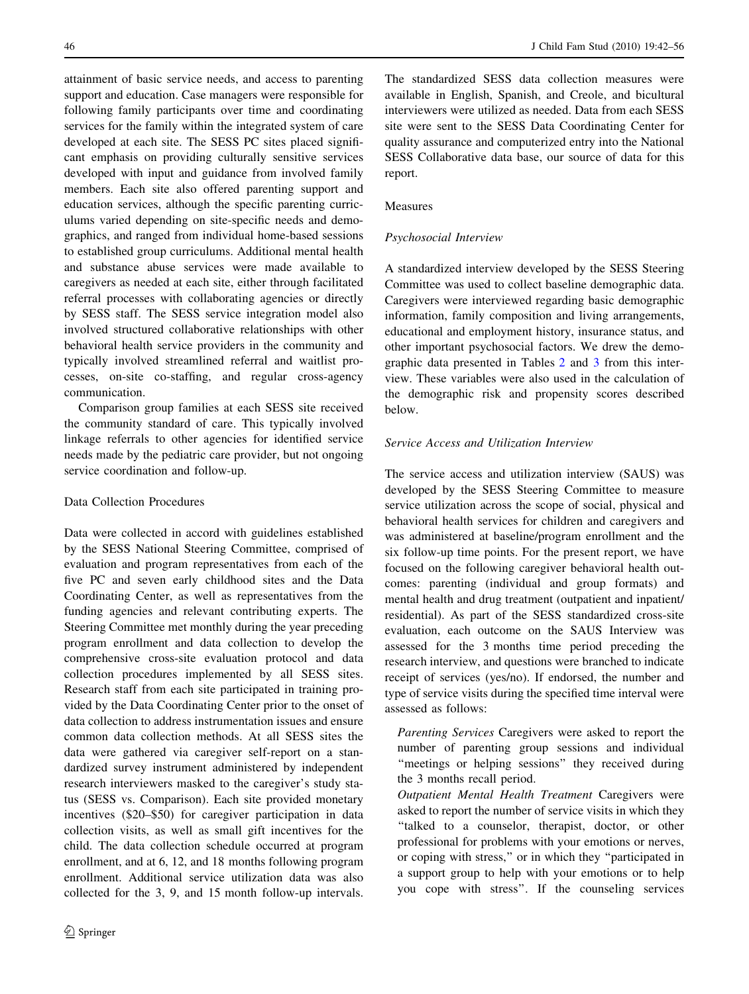attainment of basic service needs, and access to parenting support and education. Case managers were responsible for following family participants over time and coordinating services for the family within the integrated system of care developed at each site. The SESS PC sites placed significant emphasis on providing culturally sensitive services developed with input and guidance from involved family members. Each site also offered parenting support and education services, although the specific parenting curriculums varied depending on site-specific needs and demographics, and ranged from individual home-based sessions to established group curriculums. Additional mental health and substance abuse services were made available to caregivers as needed at each site, either through facilitated referral processes with collaborating agencies or directly by SESS staff. The SESS service integration model also involved structured collaborative relationships with other behavioral health service providers in the community and typically involved streamlined referral and waitlist processes, on-site co-staffing, and regular cross-agency communication.

Comparison group families at each SESS site received the community standard of care. This typically involved linkage referrals to other agencies for identified service needs made by the pediatric care provider, but not ongoing service coordination and follow-up.

# Data Collection Procedures

Data were collected in accord with guidelines established by the SESS National Steering Committee, comprised of evaluation and program representatives from each of the five PC and seven early childhood sites and the Data Coordinating Center, as well as representatives from the funding agencies and relevant contributing experts. The Steering Committee met monthly during the year preceding program enrollment and data collection to develop the comprehensive cross-site evaluation protocol and data collection procedures implemented by all SESS sites. Research staff from each site participated in training provided by the Data Coordinating Center prior to the onset of data collection to address instrumentation issues and ensure common data collection methods. At all SESS sites the data were gathered via caregiver self-report on a standardized survey instrument administered by independent research interviewers masked to the caregiver's study status (SESS vs. Comparison). Each site provided monetary incentives (\$20–\$50) for caregiver participation in data collection visits, as well as small gift incentives for the child. The data collection schedule occurred at program enrollment, and at 6, 12, and 18 months following program enrollment. Additional service utilization data was also collected for the 3, 9, and 15 month follow-up intervals.

The standardized SESS data collection measures were available in English, Spanish, and Creole, and bicultural interviewers were utilized as needed. Data from each SESS site were sent to the SESS Data Coordinating Center for quality assurance and computerized entry into the National SESS Collaborative data base, our source of data for this report.

## Measures

## Psychosocial Interview

A standardized interview developed by the SESS Steering Committee was used to collect baseline demographic data. Caregivers were interviewed regarding basic demographic information, family composition and living arrangements, educational and employment history, insurance status, and other important psychosocial factors. We drew the demographic data presented in Tables 2 and 3 from this interview. These variables were also used in the calculation of the demographic risk and propensity scores described below.

#### Service Access and Utilization Interview

The service access and utilization interview (SAUS) was developed by the SESS Steering Committee to measure service utilization across the scope of social, physical and behavioral health services for children and caregivers and was administered at baseline/program enrollment and the six follow-up time points. For the present report, we have focused on the following caregiver behavioral health outcomes: parenting (individual and group formats) and mental health and drug treatment (outpatient and inpatient/ residential). As part of the SESS standardized cross-site evaluation, each outcome on the SAUS Interview was assessed for the 3 months time period preceding the research interview, and questions were branched to indicate receipt of services (yes/no). If endorsed, the number and type of service visits during the specified time interval were assessed as follows:

Parenting Services Caregivers were asked to report the number of parenting group sessions and individual ''meetings or helping sessions'' they received during the 3 months recall period.

Outpatient Mental Health Treatment Caregivers were asked to report the number of service visits in which they ''talked to a counselor, therapist, doctor, or other professional for problems with your emotions or nerves, or coping with stress,'' or in which they ''participated in a support group to help with your emotions or to help you cope with stress''. If the counseling services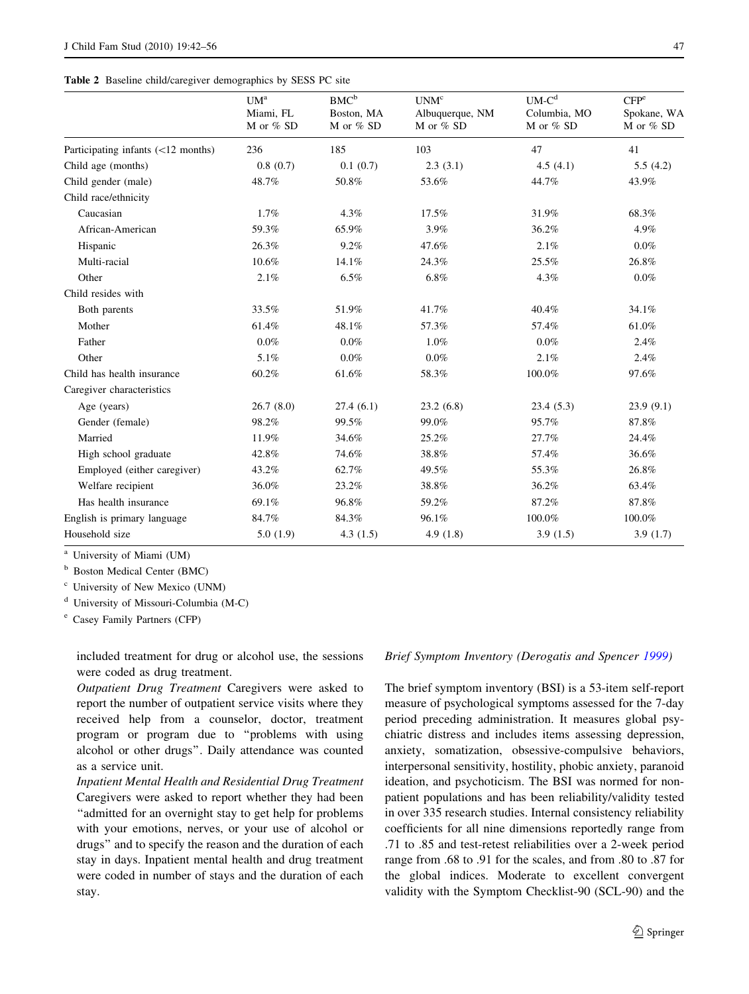#### Table 2 Baseline child/caregiver demographics by SESS PC site

|                                    | UM <sup>a</sup><br>Miami, FL<br>M or $%$ SD | $BMC^b$<br>Boston, MA<br>M or % SD | UNM <sup>c</sup><br>Albuquerque, NM<br>M or % SD | $\ensuremath{\text{UM-}\mathbf{C}}^{\text{d}}$<br>Columbia, MO<br>M or % SD | CFP <sup>e</sup><br>Spokane, WA<br>M or $%$ SD |
|------------------------------------|---------------------------------------------|------------------------------------|--------------------------------------------------|-----------------------------------------------------------------------------|------------------------------------------------|
| Participating infants (<12 months) | 236                                         | 185                                | 103                                              | 47                                                                          | 41                                             |
| Child age (months)                 | 0.8(0.7)                                    | 0.1(0.7)                           | 2.3(3.1)                                         | 4.5(4.1)                                                                    | 5.5(4.2)                                       |
| Child gender (male)                | 48.7%                                       | 50.8%                              | 53.6%                                            | 44.7%                                                                       | 43.9%                                          |
| Child race/ethnicity               |                                             |                                    |                                                  |                                                                             |                                                |
| Caucasian                          | 1.7%                                        | $4.3\%$                            | 17.5%                                            | 31.9%                                                                       | 68.3%                                          |
| African-American                   | 59.3%                                       | 65.9%                              | 3.9%                                             | 36.2%                                                                       | 4.9%                                           |
| Hispanic                           | 26.3%                                       | 9.2%                               | 47.6%                                            | 2.1%                                                                        | $0.0\%$                                        |
| Multi-racial                       | 10.6%                                       | 14.1%                              | 24.3%                                            | 25.5%                                                                       | 26.8%                                          |
| Other                              | 2.1%                                        | 6.5%                               | 6.8%                                             | 4.3%                                                                        | $0.0\%$                                        |
| Child resides with                 |                                             |                                    |                                                  |                                                                             |                                                |
| Both parents                       | 33.5%                                       | 51.9%                              | 41.7%                                            | 40.4%                                                                       | 34.1%                                          |
| Mother                             | 61.4%                                       | 48.1%                              | 57.3%                                            | 57.4%                                                                       | 61.0%                                          |
| Father                             | $0.0\%$                                     | $0.0\%$                            | $1.0\%$                                          | $0.0\%$                                                                     | 2.4%                                           |
| Other                              | 5.1%                                        | $0.0\%$                            | $0.0\%$                                          | 2.1%                                                                        | 2.4%                                           |
| Child has health insurance         | 60.2%                                       | 61.6%                              | 58.3%                                            | 100.0%                                                                      | 97.6%                                          |
| Caregiver characteristics          |                                             |                                    |                                                  |                                                                             |                                                |
| Age (years)                        | 26.7(8.0)                                   | 27.4(6.1)                          | 23.2(6.8)                                        | 23.4(5.3)                                                                   | 23.9(9.1)                                      |
| Gender (female)                    | 98.2%                                       | 99.5%                              | 99.0%                                            | 95.7%                                                                       | 87.8%                                          |
| Married                            | 11.9%                                       | 34.6%                              | 25.2%                                            | 27.7%                                                                       | 24.4%                                          |
| High school graduate               | 42.8%                                       | 74.6%                              | 38.8%                                            | 57.4%                                                                       | 36.6%                                          |
| Employed (either caregiver)        | 43.2%                                       | 62.7%                              | 49.5%                                            | 55.3%                                                                       | 26.8%                                          |
| Welfare recipient                  | 36.0%                                       | 23.2%                              | 38.8%                                            | 36.2%                                                                       | 63.4%                                          |
| Has health insurance               | 69.1%                                       | 96.8%                              | 59.2%                                            | 87.2%                                                                       | 87.8%                                          |
| English is primary language        | 84.7%                                       | 84.3%                              | 96.1%                                            | 100.0%                                                                      | 100.0%                                         |
| Household size                     | 5.0(1.9)                                    | 4.3(1.5)                           | 4.9(1.8)                                         | 3.9(1.5)                                                                    | 3.9(1.7)                                       |

<sup>a</sup> University of Miami (UM)

**b** Boston Medical Center (BMC)

<sup>c</sup> University of New Mexico (UNM)

<sup>d</sup> University of Missouri-Columbia (M-C)

<sup>e</sup> Casey Family Partners (CFP)

included treatment for drug or alcohol use, the sessions were coded as drug treatment.

Outpatient Drug Treatment Caregivers were asked to report the number of outpatient service visits where they received help from a counselor, doctor, treatment program or program due to ''problems with using alcohol or other drugs''. Daily attendance was counted as a service unit.

Inpatient Mental Health and Residential Drug Treatment Caregivers were asked to report whether they had been ''admitted for an overnight stay to get help for problems with your emotions, nerves, or your use of alcohol or drugs'' and to specify the reason and the duration of each stay in days. Inpatient mental health and drug treatment were coded in number of stays and the duration of each stay.

## Brief Symptom Inventory (Derogatis and Spencer 1999)

The brief symptom inventory (BSI) is a 53-item self-report measure of psychological symptoms assessed for the 7-day period preceding administration. It measures global psychiatric distress and includes items assessing depression, anxiety, somatization, obsessive-compulsive behaviors, interpersonal sensitivity, hostility, phobic anxiety, paranoid ideation, and psychoticism. The BSI was normed for nonpatient populations and has been reliability/validity tested in over 335 research studies. Internal consistency reliability coefficients for all nine dimensions reportedly range from .71 to .85 and test-retest reliabilities over a 2-week period range from .68 to .91 for the scales, and from .80 to .87 for the global indices. Moderate to excellent convergent validity with the Symptom Checklist-90 (SCL-90) and the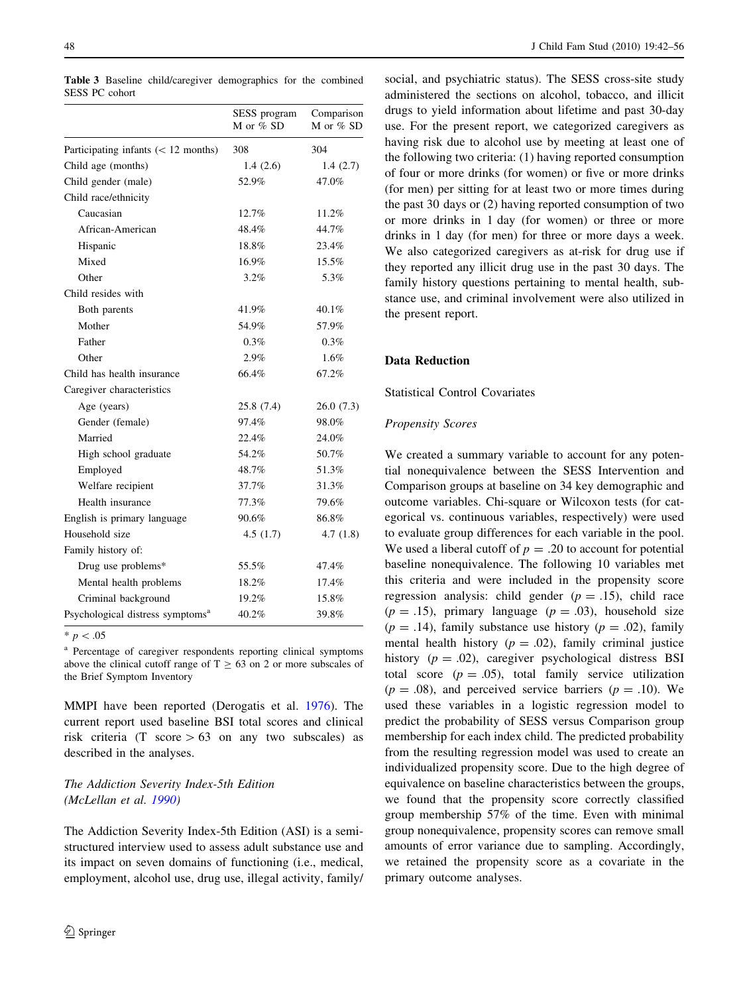Table 3 Baseline child/caregiver demographics for the combined SESS PC cohort

|                                              | SESS program<br>M or $%$ SD | Comparison<br>M or % SD |
|----------------------------------------------|-----------------------------|-------------------------|
| Participating infants $(< 12$ months)        | 308                         | 304                     |
| Child age (months)                           | 1.4(2.6)                    | 1.4(2.7)                |
| Child gender (male)                          | 52.9%                       | 47.0%                   |
| Child race/ethnicity                         |                             |                         |
| Caucasian                                    | 12.7%                       | 11.2%                   |
| African-American                             | 48.4%                       | 44.7%                   |
| Hispanic                                     | 18.8%                       | 23.4%                   |
| Mixed                                        | 16.9%                       | 15.5%                   |
| Other                                        | $3.2\%$                     | 5.3%                    |
| Child resides with                           |                             |                         |
| Both parents                                 | 41.9%                       | 40.1%                   |
| Mother                                       | 54.9%                       | 57.9%                   |
| Father                                       | $0.3\%$                     | $0.3\%$                 |
| Other                                        | 2.9%                        | 1.6%                    |
| Child has health insurance                   | 66.4%                       | 67.2%                   |
| Caregiver characteristics                    |                             |                         |
| Age (years)                                  | 25.8(7.4)                   | 26.0(7.3)               |
| Gender (female)                              | 97.4%                       | 98.0%                   |
| Married                                      | 22.4%                       | 24.0%                   |
| High school graduate                         | 54.2%                       | 50.7%                   |
| Employed                                     | 48.7%                       | 51.3%                   |
| Welfare recipient                            | 37.7%                       | 31.3%                   |
| Health insurance                             | 77.3%                       | 79.6%                   |
| English is primary language                  | 90.6%                       | 86.8%                   |
| Household size                               | 4.5(1.7)                    | 4.7(1.8)                |
| Family history of:                           |                             |                         |
| Drug use problems*                           | 55.5%                       | 47.4%                   |
| Mental health problems                       | 18.2%                       | 17.4%                   |
| Criminal background                          | 19.2%                       | 15.8%                   |
| Psychological distress symptoms <sup>a</sup> | 40.2%                       | 39.8%                   |

 $* p < .05$ 

<sup>a</sup> Percentage of caregiver respondents reporting clinical symptoms above the clinical cutoff range of  $T \ge 63$  on 2 or more subscales of the Brief Symptom Inventory

MMPI have been reported (Derogatis et al. 1976). The current report used baseline BSI total scores and clinical risk criteria (T score  $> 63$  on any two subscales) as described in the analyses.

# The Addiction Severity Index-5th Edition (McLellan et al. 1990)

The Addiction Severity Index-5th Edition (ASI) is a semistructured interview used to assess adult substance use and its impact on seven domains of functioning (i.e., medical, employment, alcohol use, drug use, illegal activity, family/ social, and psychiatric status). The SESS cross-site study administered the sections on alcohol, tobacco, and illicit drugs to yield information about lifetime and past 30-day use. For the present report, we categorized caregivers as having risk due to alcohol use by meeting at least one of the following two criteria: (1) having reported consumption of four or more drinks (for women) or five or more drinks (for men) per sitting for at least two or more times during the past 30 days or (2) having reported consumption of two or more drinks in 1 day (for women) or three or more drinks in 1 day (for men) for three or more days a week. We also categorized caregivers as at-risk for drug use if they reported any illicit drug use in the past 30 days. The family history questions pertaining to mental health, substance use, and criminal involvement were also utilized in the present report.

## Data Reduction

Statistical Control Covariates

## Propensity Scores

We created a summary variable to account for any potential nonequivalence between the SESS Intervention and Comparison groups at baseline on 34 key demographic and outcome variables. Chi-square or Wilcoxon tests (for categorical vs. continuous variables, respectively) were used to evaluate group differences for each variable in the pool. We used a liberal cutoff of  $p = .20$  to account for potential baseline nonequivalence. The following 10 variables met this criteria and were included in the propensity score regression analysis: child gender  $(p = .15)$ , child race  $(p = .15)$ , primary language  $(p = .03)$ , household size  $(p = .14)$ , family substance use history  $(p = .02)$ , family mental health history ( $p = .02$ ), family criminal justice history ( $p = .02$ ), caregiver psychological distress BSI total score  $(p = .05)$ , total family service utilization  $(p = .08)$ , and perceived service barriers  $(p = .10)$ . We used these variables in a logistic regression model to predict the probability of SESS versus Comparison group membership for each index child. The predicted probability from the resulting regression model was used to create an individualized propensity score. Due to the high degree of equivalence on baseline characteristics between the groups, we found that the propensity score correctly classified group membership 57% of the time. Even with minimal group nonequivalence, propensity scores can remove small amounts of error variance due to sampling. Accordingly, we retained the propensity score as a covariate in the primary outcome analyses.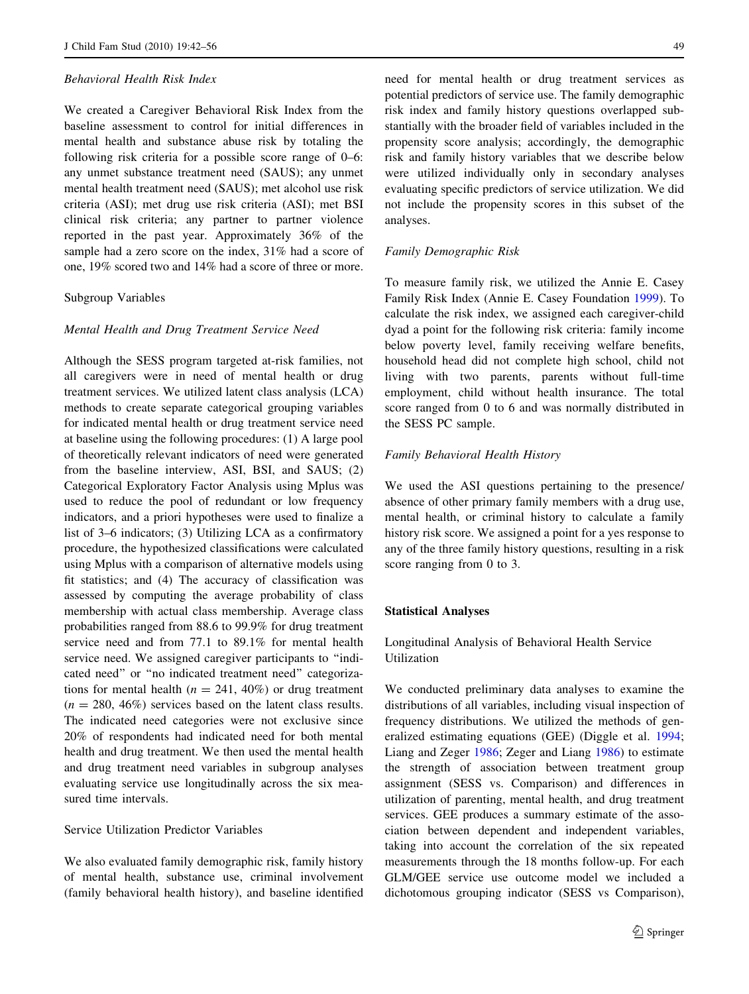#### Behavioral Health Risk Index

We created a Caregiver Behavioral Risk Index from the baseline assessment to control for initial differences in mental health and substance abuse risk by totaling the following risk criteria for a possible score range of 0–6: any unmet substance treatment need (SAUS); any unmet mental health treatment need (SAUS); met alcohol use risk criteria (ASI); met drug use risk criteria (ASI); met BSI clinical risk criteria; any partner to partner violence reported in the past year. Approximately 36% of the sample had a zero score on the index, 31% had a score of one, 19% scored two and 14% had a score of three or more.

## Subgroup Variables

#### Mental Health and Drug Treatment Service Need

Although the SESS program targeted at-risk families, not all caregivers were in need of mental health or drug treatment services. We utilized latent class analysis (LCA) methods to create separate categorical grouping variables for indicated mental health or drug treatment service need at baseline using the following procedures: (1) A large pool of theoretically relevant indicators of need were generated from the baseline interview, ASI, BSI, and SAUS; (2) Categorical Exploratory Factor Analysis using Mplus was used to reduce the pool of redundant or low frequency indicators, and a priori hypotheses were used to finalize a list of 3–6 indicators; (3) Utilizing LCA as a confirmatory procedure, the hypothesized classifications were calculated using Mplus with a comparison of alternative models using fit statistics; and (4) The accuracy of classification was assessed by computing the average probability of class membership with actual class membership. Average class probabilities ranged from 88.6 to 99.9% for drug treatment service need and from 77.1 to 89.1% for mental health service need. We assigned caregiver participants to ''indicated need'' or ''no indicated treatment need'' categorizations for mental health ( $n = 241, 40\%$ ) or drug treatment  $(n = 280, 46\%)$  services based on the latent class results. The indicated need categories were not exclusive since 20% of respondents had indicated need for both mental health and drug treatment. We then used the mental health and drug treatment need variables in subgroup analyses evaluating service use longitudinally across the six measured time intervals.

# Service Utilization Predictor Variables

We also evaluated family demographic risk, family history of mental health, substance use, criminal involvement (family behavioral health history), and baseline identified need for mental health or drug treatment services as potential predictors of service use. The family demographic risk index and family history questions overlapped substantially with the broader field of variables included in the propensity score analysis; accordingly, the demographic risk and family history variables that we describe below were utilized individually only in secondary analyses evaluating specific predictors of service utilization. We did not include the propensity scores in this subset of the analyses.

## Family Demographic Risk

To measure family risk, we utilized the Annie E. Casey Family Risk Index (Annie E. Casey Foundation 1999). To calculate the risk index, we assigned each caregiver-child dyad a point for the following risk criteria: family income below poverty level, family receiving welfare benefits, household head did not complete high school, child not living with two parents, parents without full-time employment, child without health insurance. The total score ranged from 0 to 6 and was normally distributed in the SESS PC sample.

## Family Behavioral Health History

We used the ASI questions pertaining to the presence/ absence of other primary family members with a drug use, mental health, or criminal history to calculate a family history risk score. We assigned a point for a yes response to any of the three family history questions, resulting in a risk score ranging from 0 to 3.

#### Statistical Analyses

Longitudinal Analysis of Behavioral Health Service Utilization

We conducted preliminary data analyses to examine the distributions of all variables, including visual inspection of frequency distributions. We utilized the methods of generalized estimating equations (GEE) (Diggle et al. 1994; Liang and Zeger 1986; Zeger and Liang 1986) to estimate the strength of association between treatment group assignment (SESS vs. Comparison) and differences in utilization of parenting, mental health, and drug treatment services. GEE produces a summary estimate of the association between dependent and independent variables, taking into account the correlation of the six repeated measurements through the 18 months follow-up. For each GLM/GEE service use outcome model we included a dichotomous grouping indicator (SESS vs Comparison),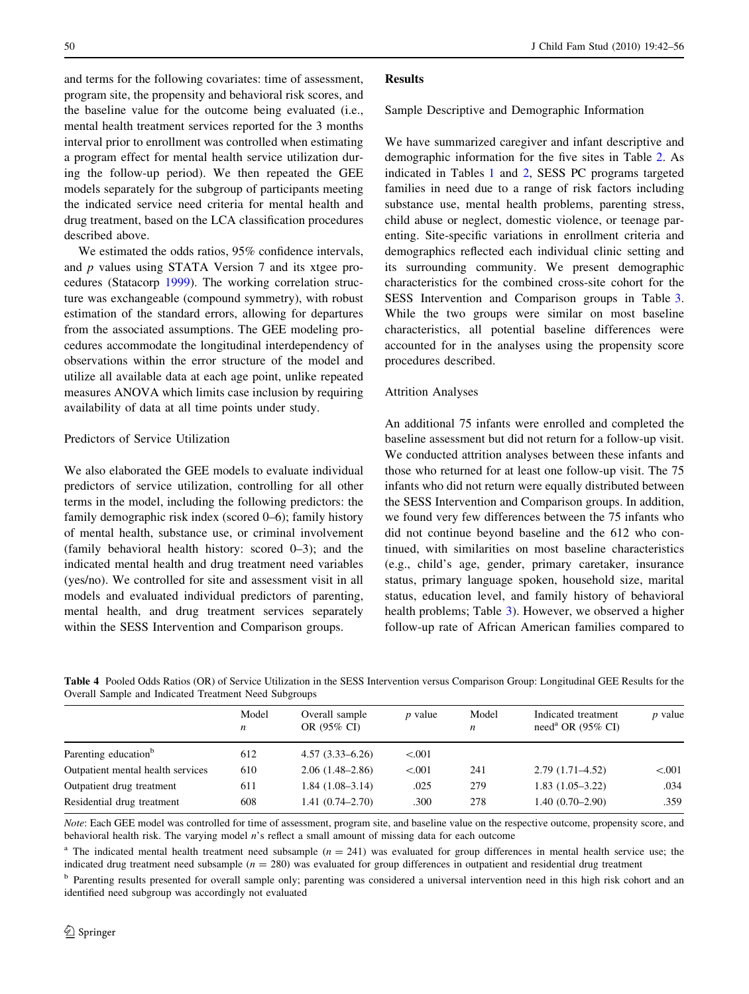and terms for the following covariates: time of assessment, program site, the propensity and behavioral risk scores, and the baseline value for the outcome being evaluated (i.e., mental health treatment services reported for the 3 months interval prior to enrollment was controlled when estimating a program effect for mental health service utilization during the follow-up period). We then repeated the GEE models separately for the subgroup of participants meeting the indicated service need criteria for mental health and drug treatment, based on the LCA classification procedures described above.

We estimated the odds ratios, 95% confidence intervals, and p values using STATA Version 7 and its xtgee procedures (Statacorp 1999). The working correlation structure was exchangeable (compound symmetry), with robust estimation of the standard errors, allowing for departures from the associated assumptions. The GEE modeling procedures accommodate the longitudinal interdependency of observations within the error structure of the model and utilize all available data at each age point, unlike repeated measures ANOVA which limits case inclusion by requiring availability of data at all time points under study.

# Predictors of Service Utilization

We also elaborated the GEE models to evaluate individual predictors of service utilization, controlling for all other terms in the model, including the following predictors: the family demographic risk index (scored 0–6); family history of mental health, substance use, or criminal involvement (family behavioral health history: scored 0–3); and the indicated mental health and drug treatment need variables (yes/no). We controlled for site and assessment visit in all models and evaluated individual predictors of parenting, mental health, and drug treatment services separately within the SESS Intervention and Comparison groups.

Parenting education<sup>b</sup> 612 4.57 (3.33–6.26) <.001

#### Results

Sample Descriptive and Demographic Information

We have summarized caregiver and infant descriptive and demographic information for the five sites in Table 2. As indicated in Tables 1 and 2, SESS PC programs targeted families in need due to a range of risk factors including substance use, mental health problems, parenting stress, child abuse or neglect, domestic violence, or teenage parenting. Site-specific variations in enrollment criteria and demographics reflected each individual clinic setting and its surrounding community. We present demographic characteristics for the combined cross-site cohort for the SESS Intervention and Comparison groups in Table 3. While the two groups were similar on most baseline characteristics, all potential baseline differences were accounted for in the analyses using the propensity score procedures described.

#### Attrition Analyses

An additional 75 infants were enrolled and completed the baseline assessment but did not return for a follow-up visit. We conducted attrition analyses between these infants and those who returned for at least one follow-up visit. The 75 infants who did not return were equally distributed between the SESS Intervention and Comparison groups. In addition, we found very few differences between the 75 infants who did not continue beyond baseline and the 612 who continued, with similarities on most baseline characteristics (e.g., child's age, gender, primary caretaker, insurance status, primary language spoken, household size, marital status, education level, and family history of behavioral health problems; Table 3). However, we observed a higher follow-up rate of African American families compared to

| Overall Sample and Indicated Treatment Need Subgroups |       |                               |                |            |                                                      |                |
|-------------------------------------------------------|-------|-------------------------------|----------------|------------|------------------------------------------------------|----------------|
|                                                       | Model | Overall sample<br>OR (95% CI) | <i>p</i> value | Model<br>n | Indicated treatment<br>need <sup>a</sup> OR (95% CI) | <i>p</i> value |

Outpatient mental health services 610 2.06 (1.48–2.86)  $\lt$  001 241 2.79 (1.71–4.52)  $\lt$  001 Outpatient drug treatment  $611$  1.84 (1.08–3.14) .025 279 1.83 (1.05–3.22) .034 Residential drug treatment 608 1.41 (0.74–2.70) .300 278 1.40 (0.70–2.90) .359

Table 4 Pooled Odds Ratios (OR) of Service Utilization in the SESS Intervention versus Comparison Group: Longitudinal GEE Results for the Overall Sample and Indicated Treatment Need Subgroups

Note: Each GEE model was controlled for time of assessment, program site, and baseline value on the respective outcome, propensity score, and behavioral health risk. The varying model  $n$ 's reflect a small amount of missing data for each outcome

<sup>a</sup> The indicated mental health treatment need subsample  $(n = 241)$  was evaluated for group differences in mental health service use; the indicated drug treatment need subsample  $(n = 280)$  was evaluated for group differences in outpatient and residential drug treatment

<sup>b</sup> Parenting results presented for overall sample only; parenting was considered a universal intervention need in this high risk cohort and an identified need subgroup was accordingly not evaluated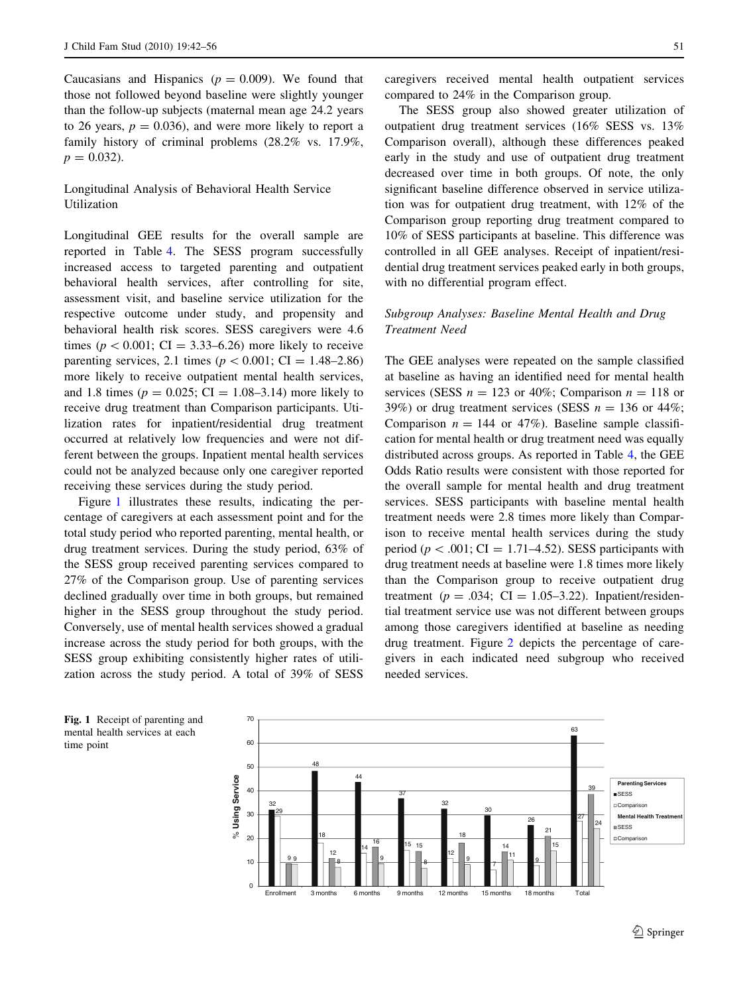Caucasians and Hispanics ( $p = 0.009$ ). We found that those not followed beyond baseline were slightly younger than the follow-up subjects (maternal mean age 24.2 years to 26 years,  $p = 0.036$ , and were more likely to report a family history of criminal problems (28.2% vs. 17.9%,  $p = 0.032$ .

## Longitudinal Analysis of Behavioral Health Service Utilization

Longitudinal GEE results for the overall sample are reported in Table 4. The SESS program successfully increased access to targeted parenting and outpatient behavioral health services, after controlling for site, assessment visit, and baseline service utilization for the respective outcome under study, and propensity and behavioral health risk scores. SESS caregivers were 4.6 times ( $p < 0.001$ ; CI = 3.33–6.26) more likely to receive parenting services, 2.1 times ( $p < 0.001$ ; CI = 1.48–2.86) more likely to receive outpatient mental health services, and 1.8 times ( $p = 0.025$ ; CI = 1.08–3.14) more likely to receive drug treatment than Comparison participants. Utilization rates for inpatient/residential drug treatment occurred at relatively low frequencies and were not different between the groups. Inpatient mental health services could not be analyzed because only one caregiver reported receiving these services during the study period.

Figure 1 illustrates these results, indicating the percentage of caregivers at each assessment point and for the total study period who reported parenting, mental health, or drug treatment services. During the study period, 63% of the SESS group received parenting services compared to 27% of the Comparison group. Use of parenting services declined gradually over time in both groups, but remained higher in the SESS group throughout the study period. Conversely, use of mental health services showed a gradual increase across the study period for both groups, with the SESS group exhibiting consistently higher rates of utilization across the study period. A total of 39% of SESS caregivers received mental health outpatient services compared to 24% in the Comparison group.

The SESS group also showed greater utilization of outpatient drug treatment services (16% SESS vs. 13% Comparison overall), although these differences peaked early in the study and use of outpatient drug treatment decreased over time in both groups. Of note, the only significant baseline difference observed in service utilization was for outpatient drug treatment, with 12% of the Comparison group reporting drug treatment compared to 10% of SESS participants at baseline. This difference was controlled in all GEE analyses. Receipt of inpatient/residential drug treatment services peaked early in both groups, with no differential program effect.

# Subgroup Analyses: Baseline Mental Health and Drug Treatment Need

The GEE analyses were repeated on the sample classified at baseline as having an identified need for mental health services (SESS  $n = 123$  or 40%; Comparison  $n = 118$  or 39%) or drug treatment services (SESS  $n = 136$  or 44%; Comparison  $n = 144$  or 47%). Baseline sample classification for mental health or drug treatment need was equally distributed across groups. As reported in Table 4, the GEE Odds Ratio results were consistent with those reported for the overall sample for mental health and drug treatment services. SESS participants with baseline mental health treatment needs were 2.8 times more likely than Comparison to receive mental health services during the study period ( $p < .001$ ; CI = 1.71–4.52). SESS participants with drug treatment needs at baseline were 1.8 times more likely than the Comparison group to receive outpatient drug treatment ( $p = .034$ ; CI = 1.05–3.22). Inpatient/residential treatment service use was not different between groups among those caregivers identified at baseline as needing drug treatment. Figure 2 depicts the percentage of caregivers in each indicated need subgroup who received needed services.



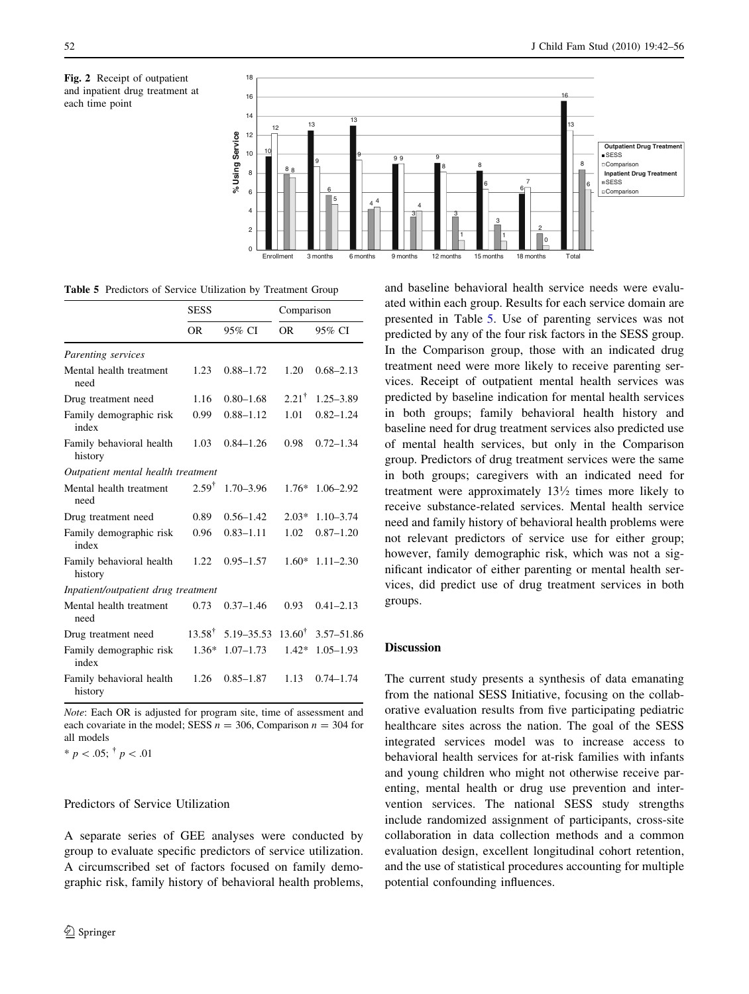



Table 5 Predictors of Service Utilization by Treatment Group

|                                     | <b>SESS</b>       |                                  | Comparison       |                |  |
|-------------------------------------|-------------------|----------------------------------|------------------|----------------|--|
|                                     | 0R                | 95% CI                           | 0 <sub>R</sub>   | 95% CI         |  |
| Parenting services                  |                   |                                  |                  |                |  |
| Mental health treatment<br>need     | 1.23              | $0.88 - 1.72$                    | 1.20             | $0.68 - 2.13$  |  |
| Drug treatment need                 | 1.16              | $0.80 - 1.68$                    | $2.21^{\dagger}$ | $1.25 - 3.89$  |  |
| Family demographic risk<br>index    | 0.99              | $0.88 - 1.12$                    | 1.01             | $0.82 - 1.24$  |  |
| Family behavioral health<br>history | 1.03              | $0.84 - 1.26$                    | 0.98             | $0.72 - 1.34$  |  |
| Outpatient mental health treatment  |                   |                                  |                  |                |  |
| Mental health treatment<br>need     | $2.59^{\dagger}$  | $1.70 - 3.96$                    | $1.76*$          | $1.06 - 2.92$  |  |
| Drug treatment need                 | 0.89              | $0.56 - 1.42$                    | $2.03*$          | $1.10 - 3.74$  |  |
| Family demographic risk<br>index    | 0.96              | $0.83 - 1.11$                    | 1.02             | $0.87 - 1.20$  |  |
| Family behavioral health<br>history | 1.22              | $0.95 - 1.57$                    | $1.60*$          | $1.11 - 2.30$  |  |
| Inpatient/outpatient drug treatment |                   |                                  |                  |                |  |
| Mental health treatment<br>need     | 0.73              | $0.37 - 1.46$                    | 0.93             | $0.41 - 2.13$  |  |
| Drug treatment need                 | $13.58^{\dagger}$ | $5.19 - 35.53$ $13.60^{\dagger}$ |                  | $3.57 - 51.86$ |  |
| Family demographic risk<br>index    | $1.36*$           | $1.07 - 1.73$                    | $1.42*$          | $1.05 - 1.93$  |  |
| Family behavioral health<br>history | 1.26              | $0.85 - 1.87$                    | 1.13             | $0.74 - 1.74$  |  |

Note: Each OR is adjusted for program site, time of assessment and each covariate in the model; SESS  $n = 306$ , Comparison  $n = 304$  for all models

\*  $p$  < .05;  $\frac{+}{p}$  < .01

# Predictors of Service Utilization

A separate series of GEE analyses were conducted by group to evaluate specific predictors of service utilization. A circumscribed set of factors focused on family demographic risk, family history of behavioral health problems,

and baseline behavioral health service needs were evaluated within each group. Results for each service domain are presented in Table 5. Use of parenting services was not predicted by any of the four risk factors in the SESS group. In the Comparison group, those with an indicated drug treatment need were more likely to receive parenting services. Receipt of outpatient mental health services was predicted by baseline indication for mental health services in both groups; family behavioral health history and baseline need for drug treatment services also predicted use of mental health services, but only in the Comparison group. Predictors of drug treatment services were the same in both groups; caregivers with an indicated need for treatment were approximately  $13\frac{1}{2}$  times more likely to receive substance-related services. Mental health service need and family history of behavioral health problems were not relevant predictors of service use for either group; however, family demographic risk, which was not a significant indicator of either parenting or mental health services, did predict use of drug treatment services in both groups.

# **Discussion**

The current study presents a synthesis of data emanating from the national SESS Initiative, focusing on the collaborative evaluation results from five participating pediatric healthcare sites across the nation. The goal of the SESS integrated services model was to increase access to behavioral health services for at-risk families with infants and young children who might not otherwise receive parenting, mental health or drug use prevention and intervention services. The national SESS study strengths include randomized assignment of participants, cross-site collaboration in data collection methods and a common evaluation design, excellent longitudinal cohort retention, and the use of statistical procedures accounting for multiple potential confounding influences.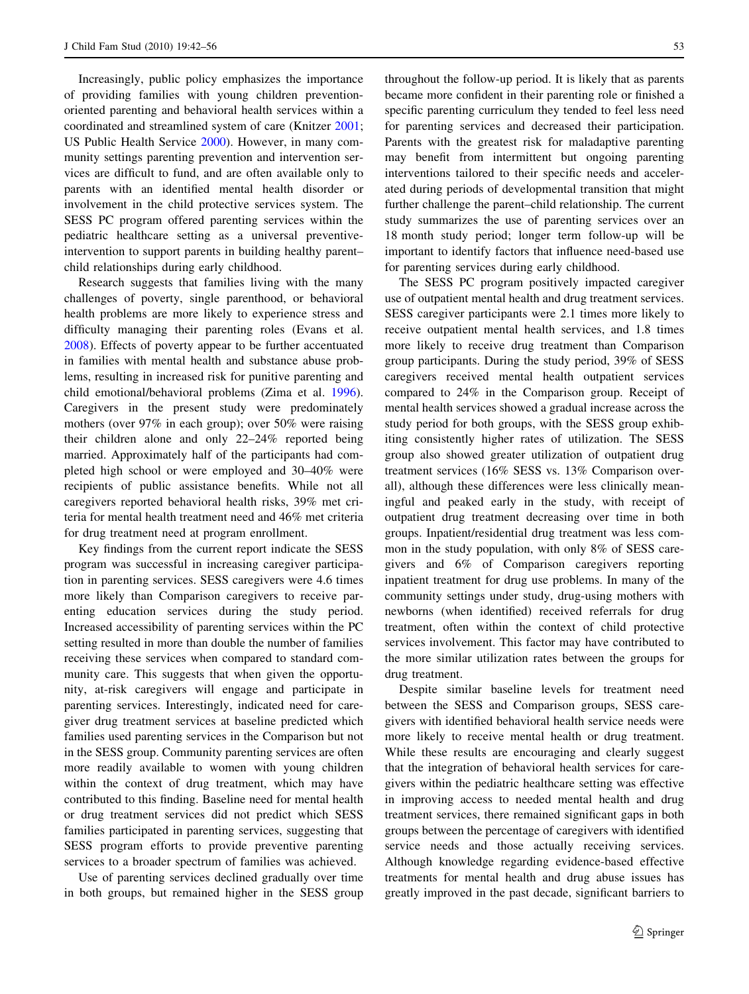Increasingly, public policy emphasizes the importance of providing families with young children preventionoriented parenting and behavioral health services within a coordinated and streamlined system of care (Knitzer 2001; US Public Health Service 2000). However, in many community settings parenting prevention and intervention services are difficult to fund, and are often available only to parents with an identified mental health disorder or involvement in the child protective services system. The SESS PC program offered parenting services within the pediatric healthcare setting as a universal preventiveintervention to support parents in building healthy parent– child relationships during early childhood.

Research suggests that families living with the many challenges of poverty, single parenthood, or behavioral health problems are more likely to experience stress and difficulty managing their parenting roles (Evans et al. 2008). Effects of poverty appear to be further accentuated in families with mental health and substance abuse problems, resulting in increased risk for punitive parenting and child emotional/behavioral problems (Zima et al. 1996). Caregivers in the present study were predominately mothers (over 97% in each group); over 50% were raising their children alone and only 22–24% reported being married. Approximately half of the participants had completed high school or were employed and 30–40% were recipients of public assistance benefits. While not all caregivers reported behavioral health risks, 39% met criteria for mental health treatment need and 46% met criteria for drug treatment need at program enrollment.

Key findings from the current report indicate the SESS program was successful in increasing caregiver participation in parenting services. SESS caregivers were 4.6 times more likely than Comparison caregivers to receive parenting education services during the study period. Increased accessibility of parenting services within the PC setting resulted in more than double the number of families receiving these services when compared to standard community care. This suggests that when given the opportunity, at-risk caregivers will engage and participate in parenting services. Interestingly, indicated need for caregiver drug treatment services at baseline predicted which families used parenting services in the Comparison but not in the SESS group. Community parenting services are often more readily available to women with young children within the context of drug treatment, which may have contributed to this finding. Baseline need for mental health or drug treatment services did not predict which SESS families participated in parenting services, suggesting that SESS program efforts to provide preventive parenting services to a broader spectrum of families was achieved.

Use of parenting services declined gradually over time in both groups, but remained higher in the SESS group

throughout the follow-up period. It is likely that as parents became more confident in their parenting role or finished a specific parenting curriculum they tended to feel less need for parenting services and decreased their participation. Parents with the greatest risk for maladaptive parenting may benefit from intermittent but ongoing parenting interventions tailored to their specific needs and accelerated during periods of developmental transition that might further challenge the parent–child relationship. The current study summarizes the use of parenting services over an 18 month study period; longer term follow-up will be important to identify factors that influence need-based use for parenting services during early childhood.

The SESS PC program positively impacted caregiver use of outpatient mental health and drug treatment services. SESS caregiver participants were 2.1 times more likely to receive outpatient mental health services, and 1.8 times more likely to receive drug treatment than Comparison group participants. During the study period, 39% of SESS caregivers received mental health outpatient services compared to 24% in the Comparison group. Receipt of mental health services showed a gradual increase across the study period for both groups, with the SESS group exhibiting consistently higher rates of utilization. The SESS group also showed greater utilization of outpatient drug treatment services (16% SESS vs. 13% Comparison overall), although these differences were less clinically meaningful and peaked early in the study, with receipt of outpatient drug treatment decreasing over time in both groups. Inpatient/residential drug treatment was less common in the study population, with only 8% of SESS caregivers and 6% of Comparison caregivers reporting inpatient treatment for drug use problems. In many of the community settings under study, drug-using mothers with newborns (when identified) received referrals for drug treatment, often within the context of child protective services involvement. This factor may have contributed to the more similar utilization rates between the groups for drug treatment.

Despite similar baseline levels for treatment need between the SESS and Comparison groups, SESS caregivers with identified behavioral health service needs were more likely to receive mental health or drug treatment. While these results are encouraging and clearly suggest that the integration of behavioral health services for caregivers within the pediatric healthcare setting was effective in improving access to needed mental health and drug treatment services, there remained significant gaps in both groups between the percentage of caregivers with identified service needs and those actually receiving services. Although knowledge regarding evidence-based effective treatments for mental health and drug abuse issues has greatly improved in the past decade, significant barriers to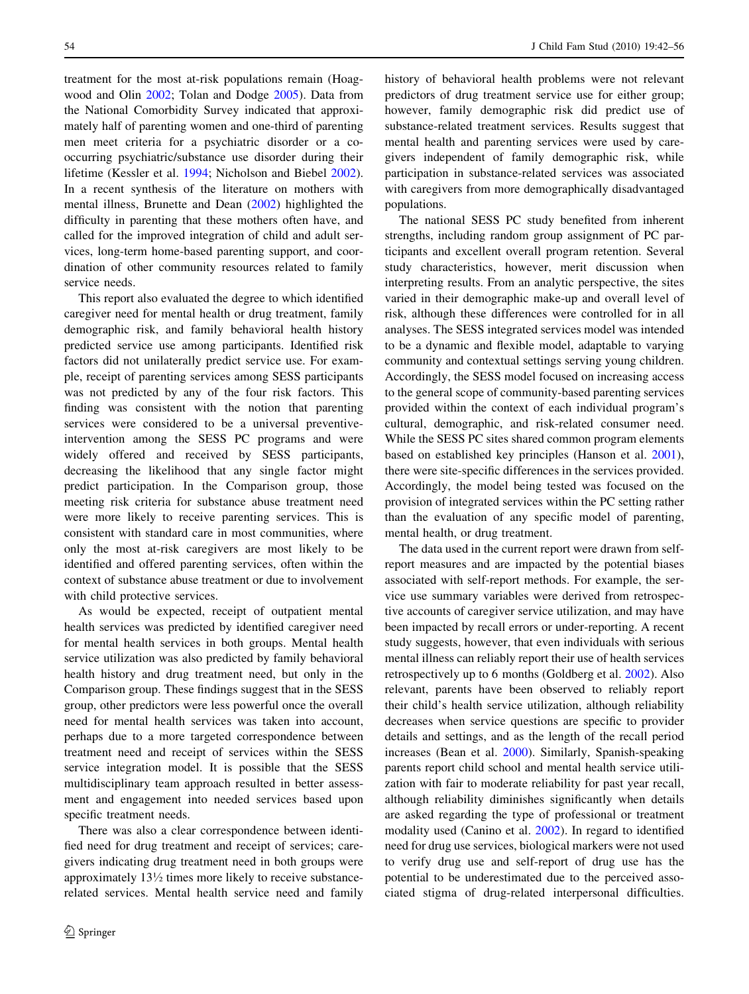treatment for the most at-risk populations remain (Hoagwood and Olin 2002; Tolan and Dodge 2005). Data from the National Comorbidity Survey indicated that approximately half of parenting women and one-third of parenting men meet criteria for a psychiatric disorder or a cooccurring psychiatric/substance use disorder during their lifetime (Kessler et al. 1994; Nicholson and Biebel 2002). In a recent synthesis of the literature on mothers with mental illness, Brunette and Dean (2002) highlighted the difficulty in parenting that these mothers often have, and called for the improved integration of child and adult services, long-term home-based parenting support, and coordination of other community resources related to family service needs.

This report also evaluated the degree to which identified caregiver need for mental health or drug treatment, family demographic risk, and family behavioral health history predicted service use among participants. Identified risk factors did not unilaterally predict service use. For example, receipt of parenting services among SESS participants was not predicted by any of the four risk factors. This finding was consistent with the notion that parenting services were considered to be a universal preventiveintervention among the SESS PC programs and were widely offered and received by SESS participants, decreasing the likelihood that any single factor might predict participation. In the Comparison group, those meeting risk criteria for substance abuse treatment need were more likely to receive parenting services. This is consistent with standard care in most communities, where only the most at-risk caregivers are most likely to be identified and offered parenting services, often within the context of substance abuse treatment or due to involvement with child protective services.

As would be expected, receipt of outpatient mental health services was predicted by identified caregiver need for mental health services in both groups. Mental health service utilization was also predicted by family behavioral health history and drug treatment need, but only in the Comparison group. These findings suggest that in the SESS group, other predictors were less powerful once the overall need for mental health services was taken into account, perhaps due to a more targeted correspondence between treatment need and receipt of services within the SESS service integration model. It is possible that the SESS multidisciplinary team approach resulted in better assessment and engagement into needed services based upon specific treatment needs.

There was also a clear correspondence between identified need for drug treatment and receipt of services; caregivers indicating drug treatment need in both groups were approximately  $13\frac{1}{2}$  times more likely to receive substancerelated services. Mental health service need and family history of behavioral health problems were not relevant predictors of drug treatment service use for either group; however, family demographic risk did predict use of substance-related treatment services. Results suggest that mental health and parenting services were used by caregivers independent of family demographic risk, while participation in substance-related services was associated with caregivers from more demographically disadvantaged populations.

The national SESS PC study benefited from inherent strengths, including random group assignment of PC participants and excellent overall program retention. Several study characteristics, however, merit discussion when interpreting results. From an analytic perspective, the sites varied in their demographic make-up and overall level of risk, although these differences were controlled for in all analyses. The SESS integrated services model was intended to be a dynamic and flexible model, adaptable to varying community and contextual settings serving young children. Accordingly, the SESS model focused on increasing access to the general scope of community-based parenting services provided within the context of each individual program's cultural, demographic, and risk-related consumer need. While the SESS PC sites shared common program elements based on established key principles (Hanson et al. 2001), there were site-specific differences in the services provided. Accordingly, the model being tested was focused on the provision of integrated services within the PC setting rather than the evaluation of any specific model of parenting, mental health, or drug treatment.

The data used in the current report were drawn from selfreport measures and are impacted by the potential biases associated with self-report methods. For example, the service use summary variables were derived from retrospective accounts of caregiver service utilization, and may have been impacted by recall errors or under-reporting. A recent study suggests, however, that even individuals with serious mental illness can reliably report their use of health services retrospectively up to 6 months (Goldberg et al. 2002). Also relevant, parents have been observed to reliably report their child's health service utilization, although reliability decreases when service questions are specific to provider details and settings, and as the length of the recall period increases (Bean et al. 2000). Similarly, Spanish-speaking parents report child school and mental health service utilization with fair to moderate reliability for past year recall, although reliability diminishes significantly when details are asked regarding the type of professional or treatment modality used (Canino et al. 2002). In regard to identified need for drug use services, biological markers were not used to verify drug use and self-report of drug use has the potential to be underestimated due to the perceived associated stigma of drug-related interpersonal difficulties.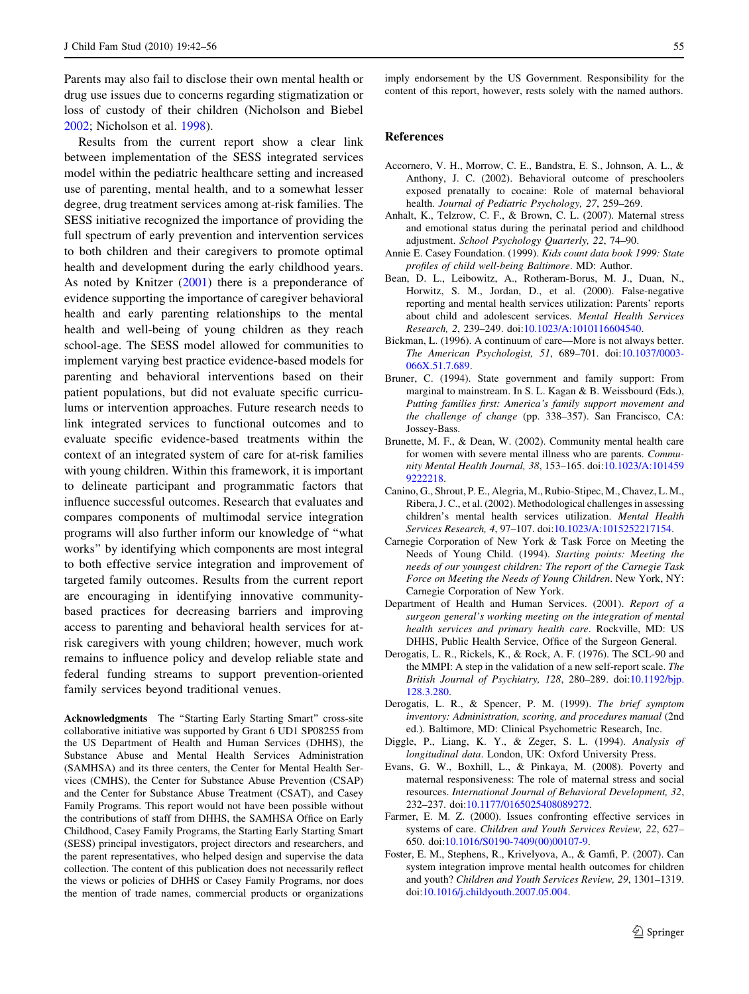Parents may also fail to disclose their own mental health or drug use issues due to concerns regarding stigmatization or loss of custody of their children (Nicholson and Biebel 2002; Nicholson et al. 1998).

Results from the current report show a clear link between implementation of the SESS integrated services model within the pediatric healthcare setting and increased use of parenting, mental health, and to a somewhat lesser degree, drug treatment services among at-risk families. The SESS initiative recognized the importance of providing the full spectrum of early prevention and intervention services to both children and their caregivers to promote optimal health and development during the early childhood years. As noted by Knitzer (2001) there is a preponderance of evidence supporting the importance of caregiver behavioral health and early parenting relationships to the mental health and well-being of young children as they reach school-age. The SESS model allowed for communities to implement varying best practice evidence-based models for parenting and behavioral interventions based on their patient populations, but did not evaluate specific curriculums or intervention approaches. Future research needs to link integrated services to functional outcomes and to evaluate specific evidence-based treatments within the context of an integrated system of care for at-risk families with young children. Within this framework, it is important to delineate participant and programmatic factors that influence successful outcomes. Research that evaluates and compares components of multimodal service integration programs will also further inform our knowledge of ''what works'' by identifying which components are most integral to both effective service integration and improvement of targeted family outcomes. Results from the current report are encouraging in identifying innovative communitybased practices for decreasing barriers and improving access to parenting and behavioral health services for atrisk caregivers with young children; however, much work remains to influence policy and develop reliable state and federal funding streams to support prevention-oriented family services beyond traditional venues.

Acknowledgments The "Starting Early Starting Smart" cross-site collaborative initiative was supported by Grant 6 UD1 SP08255 from the US Department of Health and Human Services (DHHS), the Substance Abuse and Mental Health Services Administration (SAMHSA) and its three centers, the Center for Mental Health Services (CMHS), the Center for Substance Abuse Prevention (CSAP) and the Center for Substance Abuse Treatment (CSAT), and Casey Family Programs. This report would not have been possible without the contributions of staff from DHHS, the SAMHSA Office on Early Childhood, Casey Family Programs, the Starting Early Starting Smart (SESS) principal investigators, project directors and researchers, and the parent representatives, who helped design and supervise the data collection. The content of this publication does not necessarily reflect the views or policies of DHHS or Casey Family Programs, nor does the mention of trade names, commercial products or organizations imply endorsement by the US Government. Responsibility for the content of this report, however, rests solely with the named authors.

#### References

- Accornero, V. H., Morrow, C. E., Bandstra, E. S., Johnson, A. L., & Anthony, J. C. (2002). Behavioral outcome of preschoolers exposed prenatally to cocaine: Role of maternal behavioral health. Journal of Pediatric Psychology, 27, 259–269.
- Anhalt, K., Telzrow, C. F., & Brown, C. L. (2007). Maternal stress and emotional status during the perinatal period and childhood adjustment. School Psychology Quarterly, 22, 74–90.
- Annie E. Casey Foundation. (1999). Kids count data book 1999: State profiles of child well-being Baltimore. MD: Author.
- Bean, D. L., Leibowitz, A., Rotheram-Borus, M. J., Duan, N., Horwitz, S. M., Jordan, D., et al. (2000). False-negative reporting and mental health services utilization: Parents' reports about child and adolescent services. Mental Health Services Research, 2, 239–249. doi:[10.1023/A:1010116604540](http://dx.doi.org/10.1023/A:1010116604540).
- Bickman, L. (1996). A continuum of care—More is not always better. The American Psychologist, 51, 689–701. doi:[10.1037/0003-](http://dx.doi.org/10.1037/0003-066X.51.7.689) [066X.51.7.689.](http://dx.doi.org/10.1037/0003-066X.51.7.689)
- Bruner, C. (1994). State government and family support: From marginal to mainstream. In S. L. Kagan & B. Weissbourd (Eds.), Putting families first: America's family support movement and the challenge of change (pp. 338–357). San Francisco, CA: Jossey-Bass.
- Brunette, M. F., & Dean, W. (2002). Community mental health care for women with severe mental illness who are parents. Community Mental Health Journal, 38, 153–165. doi[:10.1023/A:101459](http://dx.doi.org/10.1023/A:1014599222218) [9222218.](http://dx.doi.org/10.1023/A:1014599222218)
- Canino, G., Shrout, P. E., Alegria, M., Rubio-Stipec, M., Chavez, L. M., Ribera, J. C., et al. (2002). Methodological challenges in assessing children's mental health services utilization. Mental Health Services Research, 4, 97–107. doi:[10.1023/A:1015252217154](http://dx.doi.org/10.1023/A:1015252217154).
- Carnegie Corporation of New York & Task Force on Meeting the Needs of Young Child. (1994). Starting points: Meeting the needs of our youngest children: The report of the Carnegie Task Force on Meeting the Needs of Young Children. New York, NY: Carnegie Corporation of New York.
- Department of Health and Human Services. (2001). Report of a surgeon general's working meeting on the integration of mental health services and primary health care. Rockville, MD: US DHHS, Public Health Service, Office of the Surgeon General.
- Derogatis, L. R., Rickels, K., & Rock, A. F. (1976). The SCL-90 and the MMPI: A step in the validation of a new self-report scale. The British Journal of Psychiatry, 128, 280–289. doi[:10.1192/bjp.](http://dx.doi.org/10.1192/bjp.128.3.280) [128.3.280](http://dx.doi.org/10.1192/bjp.128.3.280).
- Derogatis, L. R., & Spencer, P. M. (1999). The brief symptom inventory: Administration, scoring, and procedures manual (2nd ed.). Baltimore, MD: Clinical Psychometric Research, Inc.
- Diggle, P., Liang, K. Y., & Zeger, S. L. (1994). Analysis of longitudinal data. London, UK: Oxford University Press.
- Evans, G. W., Boxhill, L., & Pinkaya, M. (2008). Poverty and maternal responsiveness: The role of maternal stress and social resources. International Journal of Behavioral Development, 32, 232–237. doi:[10.1177/0165025408089272.](http://dx.doi.org/10.1177/0165025408089272)
- Farmer, E. M. Z. (2000). Issues confronting effective services in systems of care. Children and Youth Services Review, 22, 627– 650. doi[:10.1016/S0190-7409\(00\)00107-9.](http://dx.doi.org/10.1016/S0190-7409(00)00107-9)
- Foster, E. M., Stephens, R., Krivelyova, A., & Gamfi, P. (2007). Can system integration improve mental health outcomes for children and youth? Children and Youth Services Review, 29, 1301–1319. doi[:10.1016/j.childyouth.2007.05.004.](http://dx.doi.org/10.1016/j.childyouth.2007.05.004)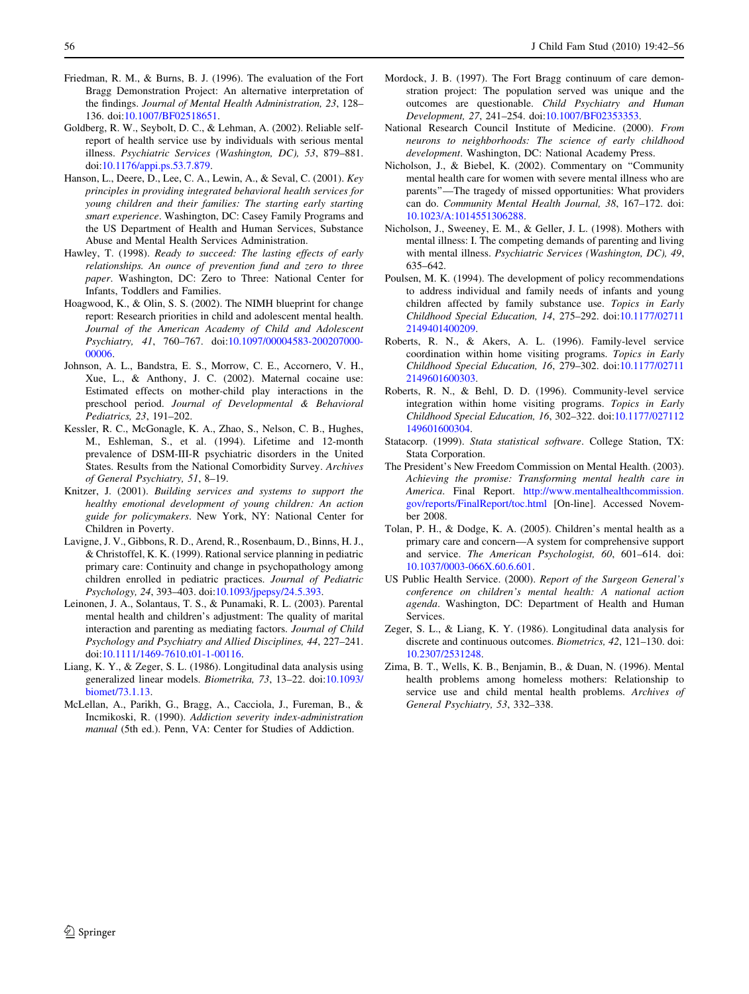- Friedman, R. M., & Burns, B. J. (1996). The evaluation of the Fort Bragg Demonstration Project: An alternative interpretation of the findings. Journal of Mental Health Administration, 23, 128– 136. doi:[10.1007/BF02518651](http://dx.doi.org/10.1007/BF02518651).
- Goldberg, R. W., Seybolt, D. C., & Lehman, A. (2002). Reliable selfreport of health service use by individuals with serious mental illness. Psychiatric Services (Washington, DC), 53, 879–881. doi[:10.1176/appi.ps.53.7.879](http://dx.doi.org/10.1176/appi.ps.53.7.879).
- Hanson, L., Deere, D., Lee, C. A., Lewin, A., & Seval, C. (2001). Key principles in providing integrated behavioral health services for young children and their families: The starting early starting smart experience. Washington, DC: Casey Family Programs and the US Department of Health and Human Services, Substance Abuse and Mental Health Services Administration.
- Hawley, T. (1998). Ready to succeed: The lasting effects of early relationships. An ounce of prevention fund and zero to three paper. Washington, DC: Zero to Three: National Center for Infants, Toddlers and Families.
- Hoagwood, K., & Olin, S. S. (2002). The NIMH blueprint for change report: Research priorities in child and adolescent mental health. Journal of the American Academy of Child and Adolescent Psychiatry, 41, 760–767. doi:[10.1097/00004583-200207000-](http://dx.doi.org/10.1097/00004583-200207000-00006) [00006](http://dx.doi.org/10.1097/00004583-200207000-00006).
- Johnson, A. L., Bandstra, E. S., Morrow, C. E., Accornero, V. H., Xue, L., & Anthony, J. C. (2002). Maternal cocaine use: Estimated effects on mother-child play interactions in the preschool period. Journal of Developmental & Behavioral Pediatrics, 23, 191–202.
- Kessler, R. C., McGonagle, K. A., Zhao, S., Nelson, C. B., Hughes, M., Eshleman, S., et al. (1994). Lifetime and 12-month prevalence of DSM-III-R psychiatric disorders in the United States. Results from the National Comorbidity Survey. Archives of General Psychiatry, 51, 8–19.
- Knitzer, J. (2001). Building services and systems to support the healthy emotional development of young children: An action guide for policymakers. New York, NY: National Center for Children in Poverty.
- Lavigne, J. V., Gibbons, R. D., Arend, R., Rosenbaum, D., Binns, H. J., & Christoffel, K. K. (1999). Rational service planning in pediatric primary care: Continuity and change in psychopathology among children enrolled in pediatric practices. Journal of Pediatric Psychology, 24, 393–403. doi[:10.1093/jpepsy/24.5.393.](http://dx.doi.org/10.1093/jpepsy/24.5.393)
- Leinonen, J. A., Solantaus, T. S., & Punamaki, R. L. (2003). Parental mental health and children's adjustment: The quality of marital interaction and parenting as mediating factors. Journal of Child Psychology and Psychiatry and Allied Disciplines, 44, 227–241. doi[:10.1111/1469-7610.t01-1-00116.](http://dx.doi.org/10.1111/1469-7610.t01-1-00116)
- Liang, K. Y., & Zeger, S. L. (1986). Longitudinal data analysis using generalized linear models. Biometrika, 73, 13–22. doi[:10.1093/](http://dx.doi.org/10.1093/biomet/73.1.13) [biomet/73.1.13](http://dx.doi.org/10.1093/biomet/73.1.13).
- McLellan, A., Parikh, G., Bragg, A., Cacciola, J., Fureman, B., & Incmikoski, R. (1990). Addiction severity index-administration manual (5th ed.). Penn, VA: Center for Studies of Addiction.
- Mordock, J. B. (1997). The Fort Bragg continuum of care demonstration project: The population served was unique and the outcomes are questionable. Child Psychiatry and Human Development, 27, 241–254. doi[:10.1007/BF02353353](http://dx.doi.org/10.1007/BF02353353).
- National Research Council Institute of Medicine. (2000). From neurons to neighborhoods: The science of early childhood development. Washington, DC: National Academy Press.
- Nicholson, J., & Biebel, K. (2002). Commentary on ''Community mental health care for women with severe mental illness who are parents''—The tragedy of missed opportunities: What providers can do. Community Mental Health Journal, 38, 167–172. doi: [10.1023/A:1014551306288.](http://dx.doi.org/10.1023/A:1014551306288)
- Nicholson, J., Sweeney, E. M., & Geller, J. L. (1998). Mothers with mental illness: I. The competing demands of parenting and living with mental illness. Psychiatric Services (Washington, DC), 49, 635–642.
- Poulsen, M. K. (1994). The development of policy recommendations to address individual and family needs of infants and young children affected by family substance use. Topics in Early Childhood Special Education, 14, 275–292. doi[:10.1177/02711](http://dx.doi.org/10.1177/027112149401400209) [2149401400209](http://dx.doi.org/10.1177/027112149401400209).
- Roberts, R. N., & Akers, A. L. (1996). Family-level service coordination within home visiting programs. Topics in Early Childhood Special Education, 16, 279–302. doi[:10.1177/02711](http://dx.doi.org/10.1177/027112149601600303) [2149601600303](http://dx.doi.org/10.1177/027112149601600303).
- Roberts, R. N., & Behl, D. D. (1996). Community-level service integration within home visiting programs. Topics in Early Childhood Special Education, 16, 302–322. doi:[10.1177/027112](http://dx.doi.org/10.1177/027112149601600304) [149601600304.](http://dx.doi.org/10.1177/027112149601600304)
- Statacorp. (1999). Stata statistical software. College Station, TX: Stata Corporation.
- The President's New Freedom Commission on Mental Health. (2003). Achieving the promise: Transforming mental health care in America. Final Report. [http://www.mentalhealthcommission.](http://www.mentalhealthcommission.gov/reports/FinalReport/toc.html) [gov/reports/FinalReport/toc.html](http://www.mentalhealthcommission.gov/reports/FinalReport/toc.html) [On-line]. Accessed November 2008.
- Tolan, P. H., & Dodge, K. A. (2005). Children's mental health as a primary care and concern—A system for comprehensive support and service. The American Psychologist, 60, 601–614. doi: [10.1037/0003-066X.60.6.601](http://dx.doi.org/10.1037/0003-066X.60.6.601).
- US Public Health Service. (2000). Report of the Surgeon General's conference on children's mental health: A national action agenda. Washington, DC: Department of Health and Human Services.
- Zeger, S. L., & Liang, K. Y. (1986). Longitudinal data analysis for discrete and continuous outcomes. Biometrics, 42, 121–130. doi: [10.2307/2531248.](http://dx.doi.org/10.2307/2531248)
- Zima, B. T., Wells, K. B., Benjamin, B., & Duan, N. (1996). Mental health problems among homeless mothers: Relationship to service use and child mental health problems. Archives of General Psychiatry, 53, 332–338.